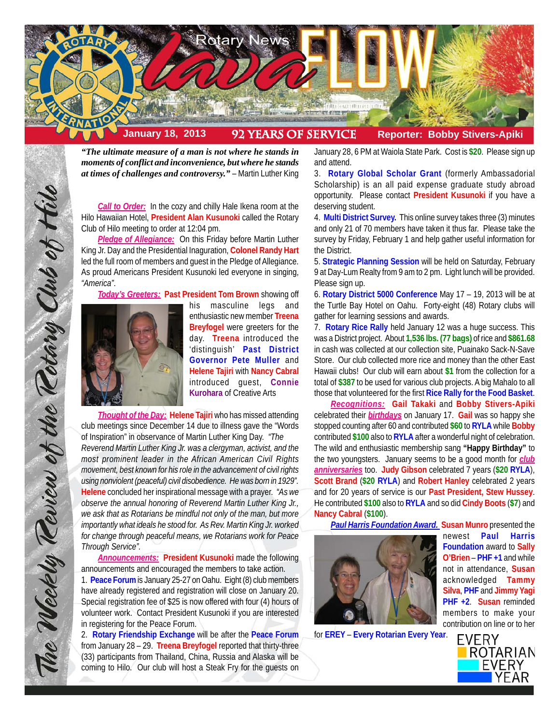

*"The ultimate measure of a man is not where he stands in moments of conflict and inconvenience, but where he stands at times of challenges and controversy."* – Martin Luther King

**Call to Order:** In the cozy and chilly Hale Ikena room at the Hilo Hawaiian Hotel, **President Alan Kusunoki** called the Rotary Club of Hilo meeting to order at 12:04 pm.

*Pledge of Allegiance:* On this Friday before Martin Luther King Jr. Day and the Presidential Inaguration, **Colonel Randy Hart** led the full room of members and guest in the Pledge of Allegiance. As proud Americans President Kusunoki led everyone in singing, *"America"*.

*Today's Greeters:* **Past President Tom Brown** showing off



The Weekly Teview of the Tetary Club of Hilo

his masculine legs and enthusiastic new member **Treena Breyfogel** were greeters for the day. **Treena** introduced the 'distinguish' **Past District Governor Pete Muller** and **Helene Tajiri** with **Nancy Cabral** introduced guest, **Connie Kurohara** of Creative Arts

*Thought of the Day:* **Helene Tajiri** who has missed attending club meetings since December 14 due to illness gave the "Words of Inspiration" in observance of Martin Luther King Day. *"The*

*Reverend Martin Luther King Jr. was a clergyman, activist, and the most prominent leader in the African American Civil Rights movement, best known for his role in the advancement of civil rights using nonviolent (peaceful) civil disobedience. He was born in 1929".* **Helene** concluded her inspirational message with a prayer. *"As we observe the annual honoring of Reverend Martin Luther King Jr., we ask that as Rotarians be mindful not only of the man, but more importantly what ideals he stood for. As Rev. Martin King Jr. worked for change through peaceful means, we Rotarians work for Peace Through Service".*

*Announcements:* **President Kusunoki** made the following announcements and encouraged the members to take action.

1. **Peace Forum** is January 25-27 on Oahu. Eight (8) club members have already registered and registration will close on January 20. Special registration fee of \$25 is now offered with four (4) hours of volunteer work. Contact President Kusunoki if you are interested in registering for the Peace Forum.

2. **Rotary Friendship Exchange** will be after the **Peace Forum** from January 28 – 29. **Treena Breyfogel** reported that thirty-three (33) participants from Thailand, China, Russia and Alaska will be coming to Hilo. Our club will host a Steak Fry for the guests on

January 28, 6 PM at Waiola State Park. Cost is **\$20**. Please sign up and attend.

3. **Rotary Global Scholar Grant** (formerly Ambassadorial Scholarship) is an all paid expense graduate study abroad opportunity. Please contact **President Kusunoki** if you have a deserving student.

4. **Multi District Survey.** This online survey takes three (3) minutes and only 21 of 70 members have taken it thus far. Please take the survey by Friday, February 1 and help gather useful information for the District.

5. **Strategic Planning Session** will be held on Saturday, February 9 at Day-Lum Realty from 9 am to 2 pm. Light lunch will be provided. Please sign up.

6. **Rotary District 5000 Conference** May 17 – 19, 2013 will be at the Turtle Bay Hotel on Oahu. Forty-eight (48) Rotary clubs will gather for learning sessions and awards.

7. **Rotary Rice Rally** held January 12 was a huge success. This was a District project. About **1,536 lbs. (77 bags)** of rice and **\$861.68** in cash was collected at our collection site, Puainako Sack-N-Save Store. Our club collected more rice and money than the other East Hawaii clubs! Our club will earn about **\$1** from the collection for a total of **\$387** to be used for various club projects. A big Mahalo to all those that volunteered for the first **Rice Rally for the Food Basket**.

*Recognitions:* **Gail Takaki** and **Bobby Stivers-Apiki** celebrated their *birthdays* on January 17. **Gail** was so happy she stopped counting after 60 and contributed **\$60** to **RYLA** while **Bobby** contributed **\$100** also to **RYLA** after a wonderful night of celebration. The wild and enthusiastic membership sang **"Happy Birthday"** to the two youngsters. January seems to be a good month for *club anniversaries* too. **Judy Gibson** celebrated 7 years (**\$20 RYLA**), **Scott Brand** (**\$20 RYLA**) and **Robert Hanley** celebrated 2 years and for 20 years of service is our **Past President, Stew Hussey**. He contributed **\$100** also to **RYLA** and so did **Cindy Boots** (**\$7**) and **Nancy Cabral** (**\$100**).

*Paul Harris Foundation Award.* **Susan Munro** presented the



for **EREY** – **Every Rotarian Every Year**.

newest **Paul Harris Foundation** award to **Sally O'Brien** – **PHF +1** and while not in attendance, **Susan** acknowledged **Tammy Silva**, **PHF** and **Jimmy Yagi PHF +2**. **Susan** reminded members to make your contribution on line or to her